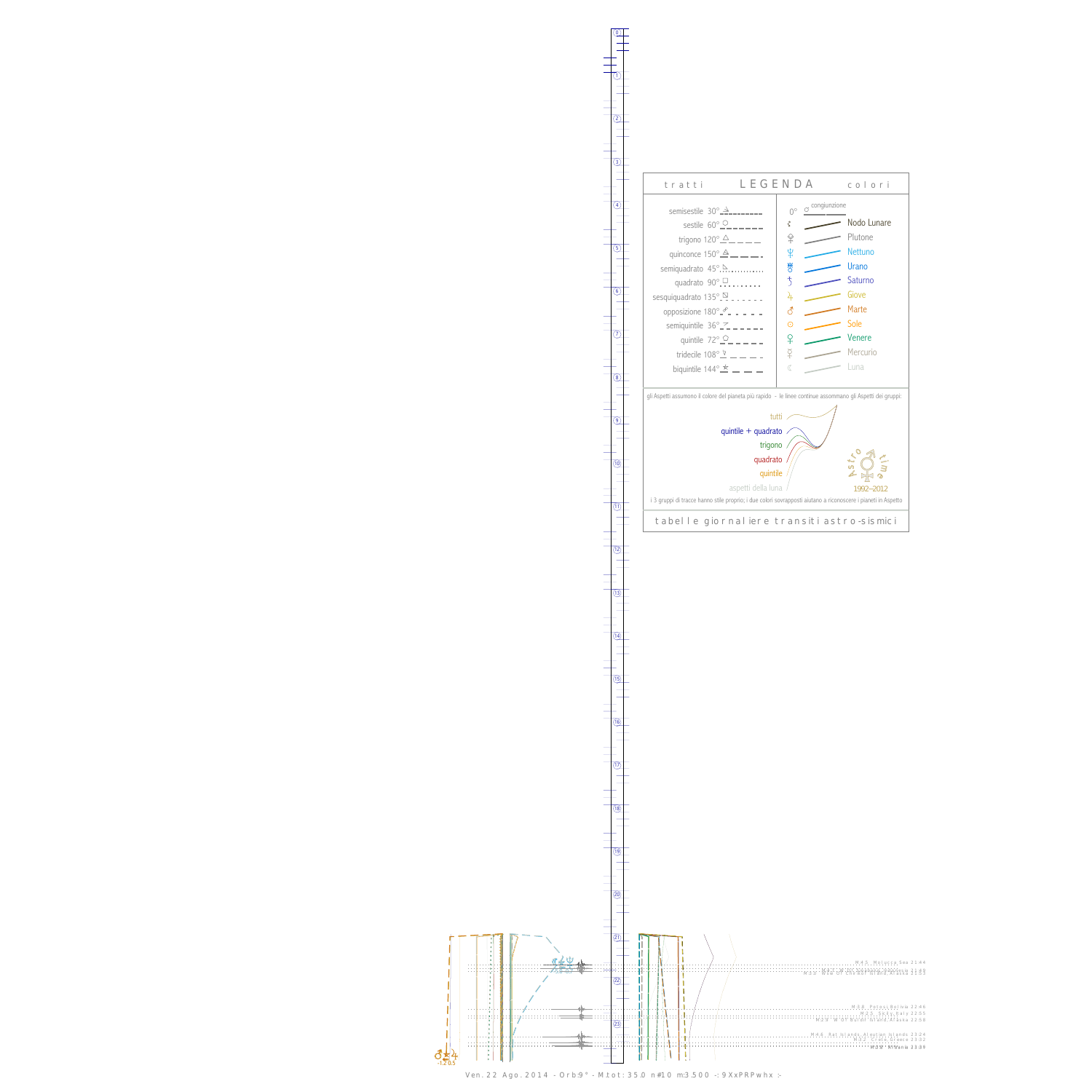

 $\vec{\epsilon}$ -1.2 0.5